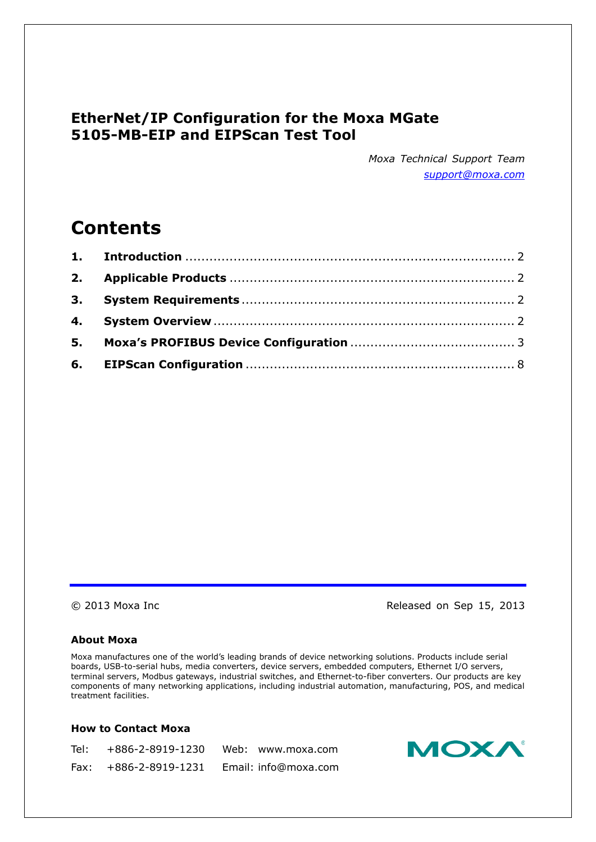## **EtherNet/IP Configuration for the Moxa MGate 5105-MB-EIP and EIPScan Test Tool**

*Moxa Technical Support Team [support@moxa.com](mailto:support@moxa.com)*

# **Contents**

© 2013 Moxa Inc **Released on Sep 15, 2013** 

### **About Moxa**

Moxa manufactures one of the world's leading brands of device networking solutions. Products include serial boards, USB-to-serial hubs, media converters, device servers, embedded computers, Ethernet I/O servers, terminal servers, Modbus gateways, industrial switches, and Ethernet-to-fiber converters. Our products are key components of many networking applications, including industrial automation, manufacturing, POS, and medical treatment facilities.

### **How to Contact Moxa**

| Tel: +886-2-8919-1230   | Web: www.moxa.com    |
|-------------------------|----------------------|
| Fax: $+886-2-8919-1231$ | Email: info@moxa.com |

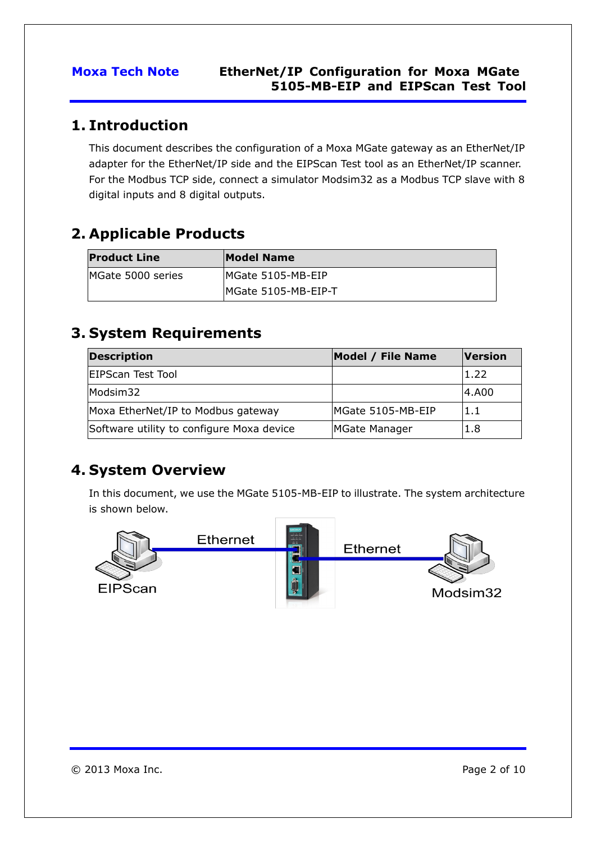## <span id="page-1-0"></span>**1. Introduction**

This document describes the configuration of a Moxa MGate gateway as an EtherNet/IP adapter for the EtherNet/IP side and the EIPScan Test tool as an EtherNet/IP scanner. For the Modbus TCP side, connect a simulator Modsim32 as a Modbus TCP slave with 8 digital inputs and 8 digital outputs.

# <span id="page-1-1"></span>**2. Applicable Products**

| <b>Product Line</b> | Model Name          |
|---------------------|---------------------|
| MGate 5000 series   | MGate 5105-MB-EIP   |
|                     | MGate 5105-MB-EIP-T |

# <span id="page-1-2"></span>**3. System Requirements**

| <b>Description</b>                        | Model / File Name | <b>Version</b> |
|-------------------------------------------|-------------------|----------------|
| <b>EIPScan Test Tool</b>                  |                   | 1.22           |
| Modsim32                                  |                   | 4.A00          |
| Moxa EtherNet/IP to Modbus gateway        | MGate 5105-MB-EIP | 1.1            |
| Software utility to configure Moxa device | MGate Manager     | 1.8            |

# <span id="page-1-3"></span>**4. System Overview**

In this document, we use the MGate 5105-MB-EIP to illustrate. The system architecture is shown below.

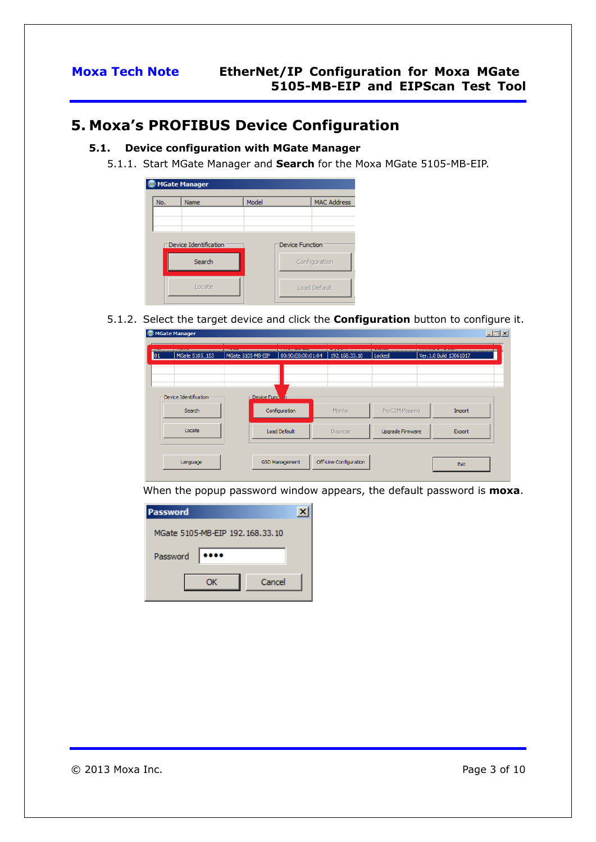## <span id="page-2-0"></span>**5. Moxa's PROFIBUS Device Configuration**

### **5.1. Device configuration with MGate Manager**

5.1.1. Start MGate Manager and **Search** for the Moxa MGate 5105-MB-EIP.



5.1.2. Select the target device and click the **Configuration** button to configure it.  $\sim$ 

| MGate 5105_153                  | MGate 5105-MB-EIP | 00:90:E8:00:01:04 | 192.168.33.10 | Locked           | Ver. 1.0 Build 13061017 |
|---------------------------------|-------------------|-------------------|---------------|------------------|-------------------------|
| Device Identification<br>Search | Device Funcy h    | Configuration     | Monitor       | ProCOM Mapping   | Import                  |
| Locate                          |                   | Load Default      | Diagnose      | Upgrade Firmware | Export                  |
|                                 |                   |                   |               |                  |                         |

When the popup password window appears, the default password is **moxa**.

| <b>Password</b>                 |  |
|---------------------------------|--|
| MGate 5105-MB-EIP 192.168.33.10 |  |
| Password                        |  |
| Cancel<br>ОК                    |  |
|                                 |  |

© 2013 Moxa Inc. Page 3 of 10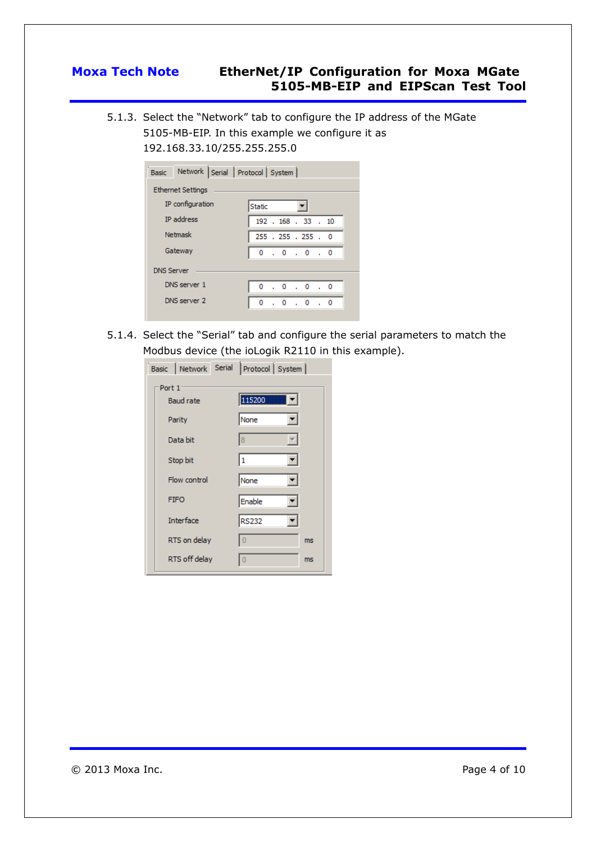5.1.3. Select the "Network" tab to configure the IP address of the MGate 5105-MB-EIP. In this example we configure it as 192.168.33.10/255.255.255.0

| Network Serial Protocol System |  |  |  |  |  |  |  |  |
|--------------------------------|--|--|--|--|--|--|--|--|
| <b>Ethernet Settings</b>       |  |  |  |  |  |  |  |  |
| Static                         |  |  |  |  |  |  |  |  |
| 192 . 168 . 33 . 10            |  |  |  |  |  |  |  |  |
| 255 . 255 . 255 . 0            |  |  |  |  |  |  |  |  |
| 0.0.0.0.0                      |  |  |  |  |  |  |  |  |
|                                |  |  |  |  |  |  |  |  |
| 0.0.0.0.0                      |  |  |  |  |  |  |  |  |
| 0.0<br>0<br>$\cdot$ 0          |  |  |  |  |  |  |  |  |
|                                |  |  |  |  |  |  |  |  |

5.1.4. Select the "Serial" tab and configure the serial parameters to match the Modbus device (the ioLogik R2110 in this example).

| Basic Network Serial Protocol System |                |
|--------------------------------------|----------------|
| Port 1                               |                |
| <b>Baud rate</b>                     | 115200 1       |
| Parity                               | ▾╎<br>None     |
| Data bit                             | 8<br>▼         |
| Stop bit                             | ▾╎<br>I1       |
| Flow control                         | None<br>▼∣     |
| <b>FIFO</b>                          | Enable         |
| <b>Interface</b>                     | <b>RS232</b>   |
| RTS on delay                         | $\theta$<br>ms |
| RTS off delay                        | $\circ$<br>ms  |

© 2013 Moxa Inc. Page 4 of 10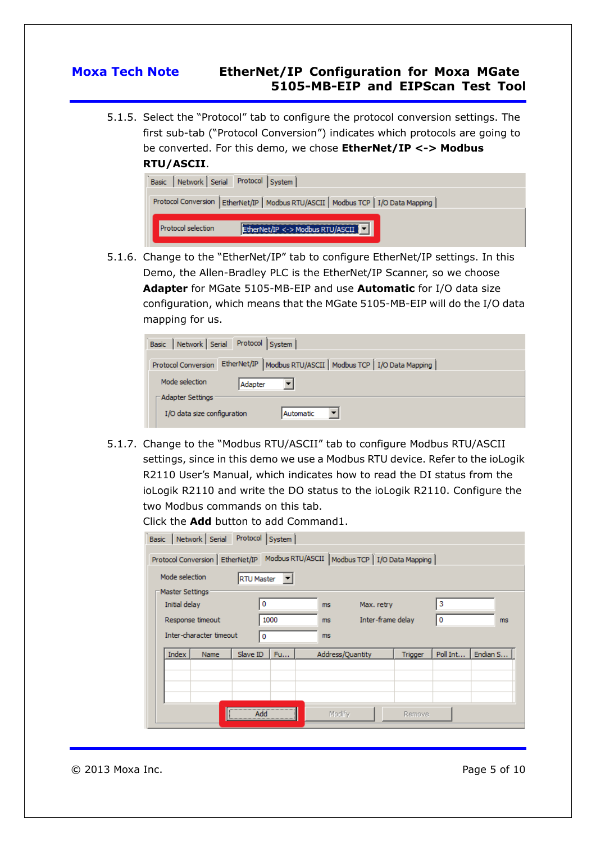5.1.5. Select the "Protocol" tab to configure the protocol conversion settings. The first sub-tab ("Protocol Conversion") indicates which protocols are going to be converted. For this demo, we chose **EtherNet/IP <-> Modbus RTU/ASCII**.



5.1.6. Change to the "EtherNet/IP" tab to configure EtherNet/IP settings. In this Demo, the Allen-Bradley PLC is the EtherNet/IP Scanner, so we choose **Adapter** for MGate 5105-MB-EIP and use **Automatic** for I/O data size configuration, which means that the MGate 5105-MB-EIP will do the I/O data mapping for us.

| Protocol System<br>Network Serial<br><b>Basic</b> |                                                                |  |  |  |
|---------------------------------------------------|----------------------------------------------------------------|--|--|--|
| Protocol Conversion                               | EtherNet/IP   Modbus RTU/ASCII   Modbus TCP   I/O Data Mapping |  |  |  |
|                                                   |                                                                |  |  |  |
| Mode selection                                    | Adapter                                                        |  |  |  |
| Adapter Settings                                  |                                                                |  |  |  |
| I/O data size configuration                       | Automatic                                                      |  |  |  |

5.1.7. Change to the "Modbus RTU/ASCII" tab to configure Modbus RTU/ASCII settings, since in this demo we use a Modbus RTU device. Refer to the ioLogik R2110 User's Manual, which indicates how to read the DI status from the ioLogik R2110 and write the DO status to the ioLogik R2110. Configure the two Modbus commands on this tab.

Click the **Add** button to add Command1.

| Network Serial<br><b>Basic</b>      |             | Protocol | System |  |                                                  |            |                   |          |          |
|-------------------------------------|-------------|----------|--------|--|--------------------------------------------------|------------|-------------------|----------|----------|
| Protocol Conversion   EtherNet/IP   |             |          |        |  | Modbus RTU/ASCII   Modbus TCP   I/O Data Mapping |            |                   |          |          |
| Mode selection<br><b>RTU Master</b> |             |          |        |  |                                                  |            |                   |          |          |
| Master Settings                     |             |          |        |  |                                                  |            |                   |          |          |
| Initial delay                       |             | 0        |        |  | ms                                               | Max. retry |                   | 3        |          |
| Response timeout                    |             |          | 1000   |  | ms.                                              |            | Inter-frame delay | 0        | ms       |
| Inter-character timeout             |             | 0        |        |  | ms.                                              |            |                   |          |          |
| <b>Index</b>                        | <b>Name</b> | Slave ID | Fu     |  | Address/Quantity                                 |            | <b>Trigger</b>    | Poll Int | Endian S |
|                                     |             |          |        |  |                                                  |            |                   |          |          |
|                                     |             |          |        |  |                                                  |            |                   |          |          |
|                                     |             |          |        |  |                                                  |            |                   |          |          |
|                                     |             | Add      |        |  | Modify                                           |            | Remove            |          |          |

© 2013 Moxa Inc. Page 5 of 10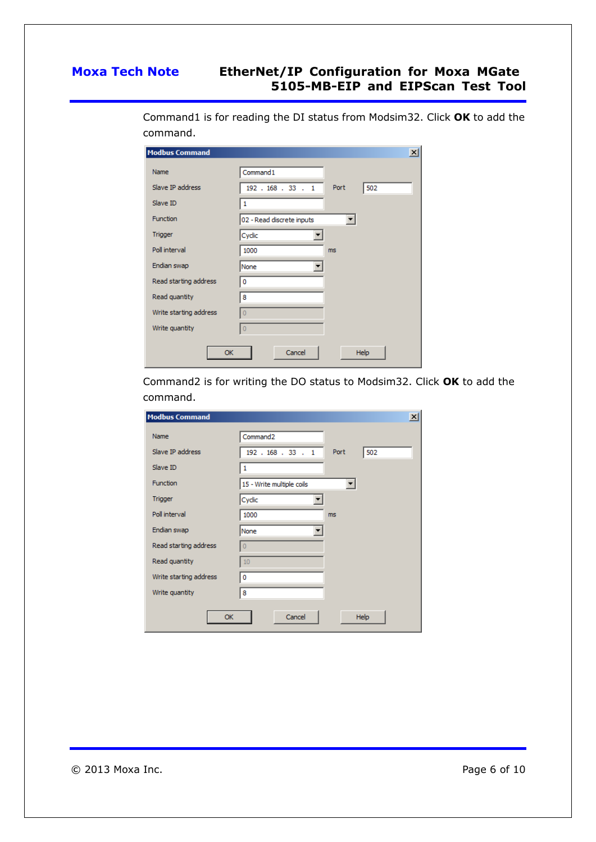| <b>Modbus Command</b>  | $\boldsymbol{\mathsf{x}}$   |
|------------------------|-----------------------------|
| Name                   | Command1                    |
| Slave IP address       | Port<br>502<br>192.168.33.1 |
| Slave ID               | 1                           |
| Function               | 02 - Read discrete inputs   |
| Trigger                | Cyclic                      |
| Poll interval          | 1000<br>ms                  |
| Endian swap            | None                        |
| Read starting address  | 0                           |
| Read quantity          | 8                           |
| Write starting address | $\circ$                     |
| Write quantity         | $\overline{0}$              |
| <b>OK</b>              | Cancel<br>Help              |

Command1 is for reading the DI status from Modsim32. Click **OK** to add the command.

Command2 is for writing the DO status to Modsim32. Click **OK** to add the command.

| <b>Modbus Command</b>  | $\vert x \vert$                        |
|------------------------|----------------------------------------|
| Name                   | Command <sub>2</sub>                   |
| Slave IP address       | Port<br>502<br>$192$ $.168$ $.33$ $.1$ |
| Slave ID               | $\mathbf{1}$                           |
| Function               | 15 - Write multiple coils              |
| <b>Trigger</b>         | Cyclic                                 |
| Poll interval          | 1000<br>ms                             |
| Endian swap            | None                                   |
| Read starting address  | $\Omega$                               |
| Read quantity          | 10                                     |
| Write starting address | 0                                      |
| Write quantity         | 8                                      |
| <b>OK</b>              | Cancel<br><b>Help</b>                  |

© 2013 Moxa Inc. 2013 Moxa Inc.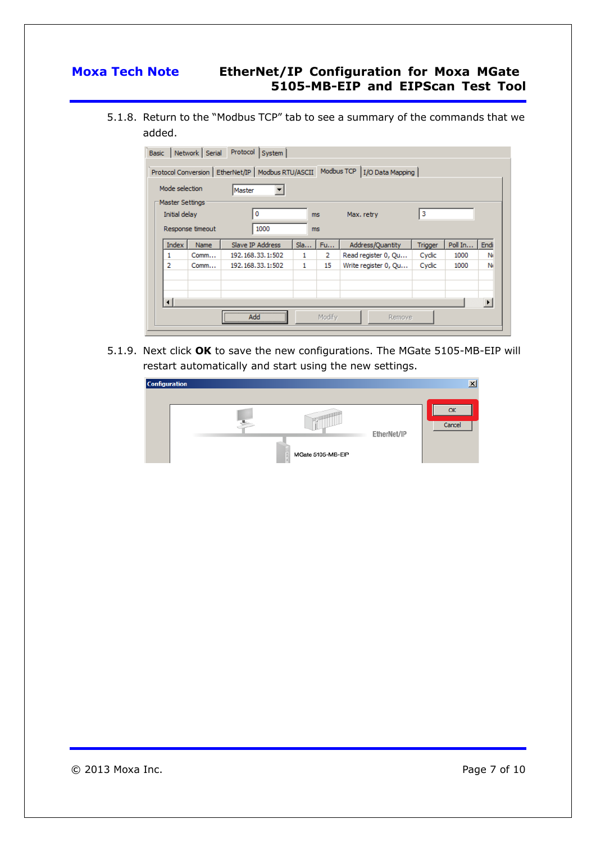5.1.8. Return to the "Modbus TCP" tab to see a summary of the commands that we added.

| Master Settings<br>0<br>Initial delay<br>Max. retry<br>ms<br>1000<br>Response timeout<br>ms. | з                                                       |
|----------------------------------------------------------------------------------------------|---------------------------------------------------------|
|                                                                                              |                                                         |
|                                                                                              |                                                         |
| Slave IP Address<br>Index<br>Sla<br>Fu<br>Name                                               | Address/Quantity<br>Poll In<br>Endi<br>Trigger          |
| 192.168.33.1:502<br>1<br>2<br>Comm<br>1                                                      | Read register 0, Qu<br>Cyclic<br>1000<br>N <sub>t</sub> |
| 2<br>192.168.33.1:502<br>1<br>15<br>Comm                                                     | Write register 0, Qu<br>Cyclic<br>1000<br>N.            |

5.1.9. Next click **OK** to save the new configurations. The MGate 5105-MB-EIP will restart automatically and start using the new settings.

| <b>Configuration</b> |                   |             |              |
|----------------------|-------------------|-------------|--------------|
|                      |                   | EtherNet/IP | Oł<br>Cancel |
|                      | MGate 5105-MB-EIP |             |              |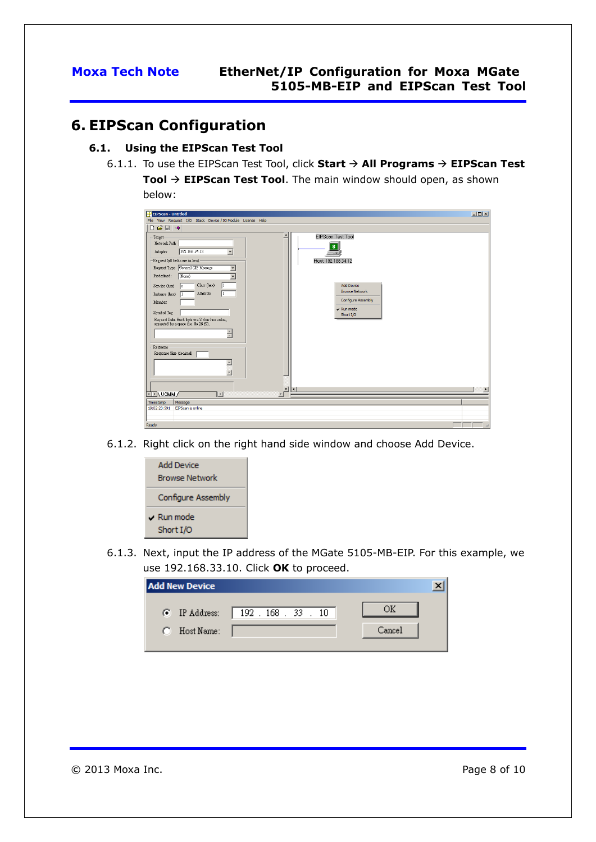## <span id="page-7-0"></span>**6. EIPScan Configuration**

### **6.1. Using the EIPScan Test Tool**

6.1.1. To use the EIPScan Test Tool, click **Start**  $\rightarrow$  **All Programs**  $\rightarrow$  **EIPScan Test Tool EIPScan Test Tool**. The main window should open, as shown below:

| EEIPScan - Untitled                                                                                                                                                                                                                                                                                                                                                                                                                                                                                   | $L = x$                                                                                                                                                                          |
|-------------------------------------------------------------------------------------------------------------------------------------------------------------------------------------------------------------------------------------------------------------------------------------------------------------------------------------------------------------------------------------------------------------------------------------------------------------------------------------------------------|----------------------------------------------------------------------------------------------------------------------------------------------------------------------------------|
| File View Request I/O Stack Device / IO Module License Help<br>$\begin{array}{c} \square \mathcal{L} \square \mathcal{L} \square \mathcal{L} \end{array}$                                                                                                                                                                                                                                                                                                                                             |                                                                                                                                                                                  |
| Target<br>Network Path<br>192.168.34.12<br>$\overline{\phantom{a}}$<br>Adapter<br>-Request (all fields are in hex) -<br>Request Type General CIP Message<br>▼<br>$(\text{None})$<br>Predefined:<br>Class (hex)<br>Service (hex)<br>le<br>Attribute<br>Instance (hex)<br>Member<br>Symbol Tag<br>Request Data. Each byte is a $2$ char hex value, separated by a space $(i.e.\,0a\,26\,f9).$<br>$\frac{1}{\sqrt{2}}$<br>Response<br>Response Size (decimal)<br>$\triangle$<br>$\overline{\phantom{0}}$ | EIPScan Test Tool<br>s<br>Host: 192.168.34.12<br><b>Add Device</b><br><b>Browse Network</b><br><b>Configure Assembly</b><br>$\vee$ Run mode<br>Short I/O<br>$\blacktriangleleft$ |
| बोस्∖∪смм ∕<br>$\vert$<br>$\vert$                                                                                                                                                                                                                                                                                                                                                                                                                                                                     |                                                                                                                                                                                  |
| Message<br>Timestamp<br>EIPScan is online<br>19:02:23:591                                                                                                                                                                                                                                                                                                                                                                                                                                             |                                                                                                                                                                                  |
| Ready                                                                                                                                                                                                                                                                                                                                                                                                                                                                                                 |                                                                                                                                                                                  |

6.1.2. Right click on the right hand side window and choose Add Device.



6.1.3. Next, input the IP address of the MGate 5105-MB-EIP. For this example, we use 192.168.33.10. Click **OK** to proceed.

| <b>Add New Device</b> |                                     |        |
|-----------------------|-------------------------------------|--------|
|                       | • IP Address:   192 . 168 . 33 . 10 |        |
| Host Name:<br>n       |                                     | Cancel |
|                       |                                     |        |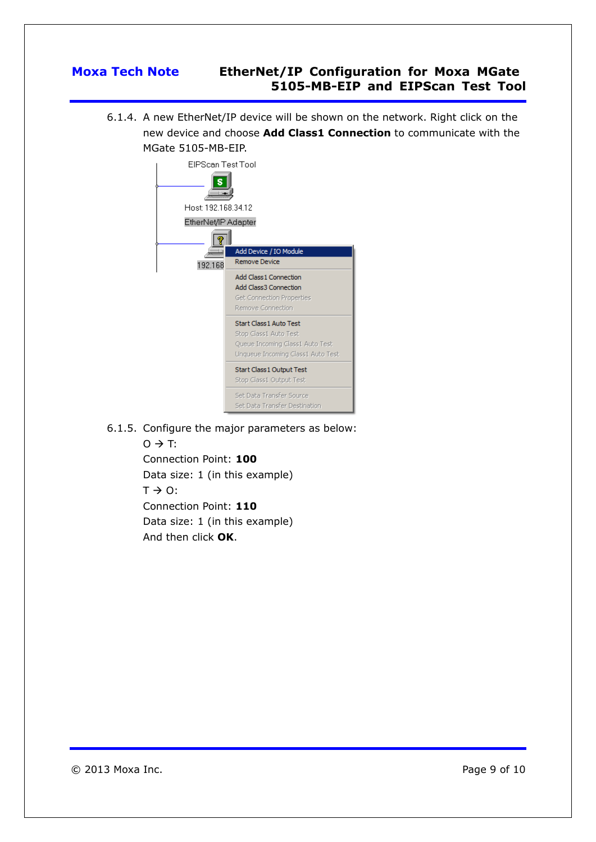6.1.4. A new EtherNet/IP device will be shown on the network. Right click on the new device and choose **Add Class1 Connection** to communicate with the MGate 5105-MB-EIP.

| EIPScan Test Tool<br>Host: 192.168.34.12<br>EtherNet/IP Adapter |                                                                                                                                 |  |  |
|-----------------------------------------------------------------|---------------------------------------------------------------------------------------------------------------------------------|--|--|
| 192.168                                                         | Add Device / IO Module<br>Remove Device                                                                                         |  |  |
|                                                                 | Add Class 1 Connection<br>Add Class3 Connection<br><b>Get Connection Properties</b><br>Remove Connection                        |  |  |
|                                                                 | <b>Start Class 1 Auto Test</b><br>Stop Class1 Auto Test<br>Queue Incoming Class1 Auto Test<br>Unqueue Incoming Class1 Auto Test |  |  |
|                                                                 | Start Class 1 Output Test<br>Stop Class1 Output Test                                                                            |  |  |
|                                                                 | Set Data Transfer Source<br>Set Data Transfer Destination                                                                       |  |  |

6.1.5. Configure the major parameters as below:

 $O \rightarrow T$ : Connection Point: **100** Data size: 1 (in this example)  $T \rightarrow 0$ : Connection Point: **110** Data size: 1 (in this example) And then click **OK**.